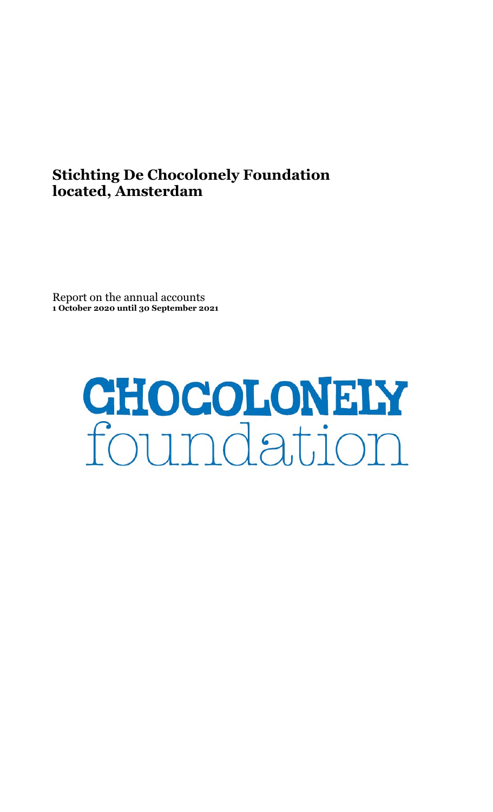# Stichting De Chocolonely Foundation located, Amsterdam

Report on the annual accounts 1 October 2020 until 30 September 2021

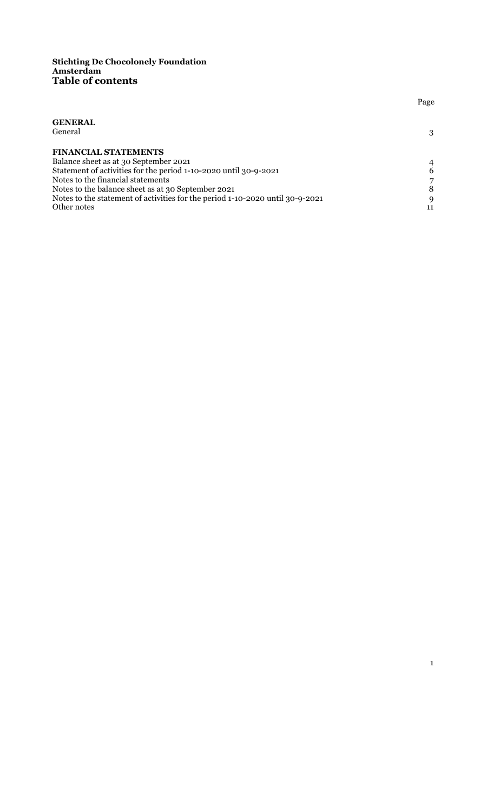#### Stichting De Chocolonely Foundation Amsterdam Table of contents

|                                                                               | Page |
|-------------------------------------------------------------------------------|------|
| <b>GENERAL</b>                                                                |      |
| General                                                                       | 3    |
| <b>FINANCIAL STATEMENTS</b>                                                   |      |
| Balance sheet as at 30 September 2021                                         | 4    |
| Statement of activities for the period 1-10-2020 until 30-9-2021              | 6    |
| Notes to the financial statements                                             |      |
| Notes to the balance sheet as at 30 September 2021                            | 8    |
| Notes to the statement of activities for the period 1-10-2020 until 30-9-2021 | 9    |
| Other notes                                                                   | 11   |

1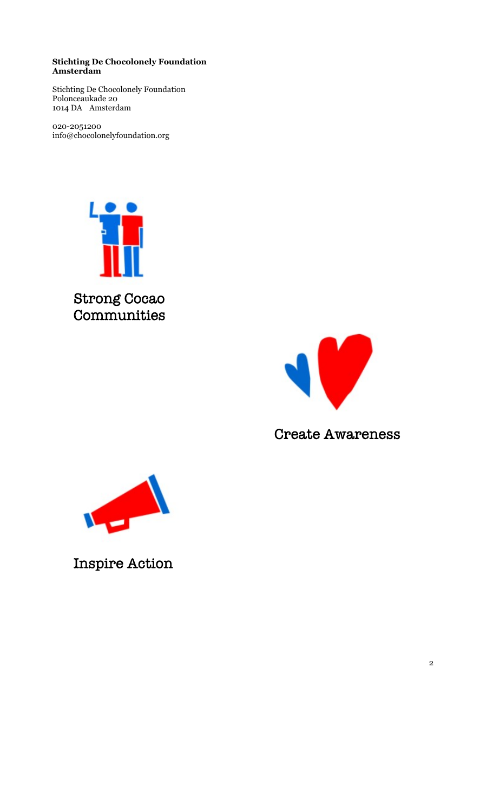## Stichting De Chocolonely Foundation Amsterdam

Stichting De Chocolonely Foundation Polonceaukade 20 1014 DA Amsterdam

020-2051200 info@chocolonelyfoundation.org



**Strong Cocao** Communities



**Create Awareness** 



**Inspire Action**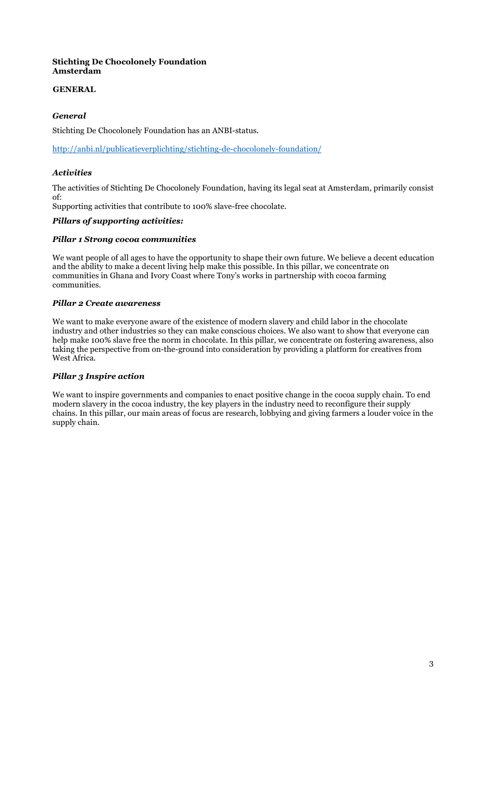## Stichting De Chocolonely Foundation Amsterdam

# GENERAL

# General

Stichting De Chocolonely Foundation has an ANBI-status.

http://anbi.nl/publicatieverplichting/stichting-de-chocolonely-foundation/

## Activities

The activities of Stichting De Chocolonely Foundation, having its legal seat at Amsterdam, primarily consist of:

Supporting activities that contribute to 100% slave-free chocolate.

#### Pillars of supporting activities:

#### Pillar 1 Strong cocoa communities

We want people of all ages to have the opportunity to shape their own future. We believe a decent education and the ability to make a decent living help make this possible. In this pillar, we concentrate on communities in Ghana and Ivory Coast where Tony's works in partnership with cocoa farming communities.

#### Pillar 2 Create awareness

We want to make everyone aware of the existence of modern slavery and child labor in the chocolate industry and other industries so they can make conscious choices. We also want to show that everyone can help make 100% slave free the norm in chocolate. In this pillar, we concentrate on fostering awareness, also taking the perspective from on-the-ground into consideration by providing a platform for creatives from West Africa.

## Pillar 3 Inspire action

We want to inspire governments and companies to enact positive change in the cocoa supply chain. To end modern slavery in the cocoa industry, the key players in the industry need to reconfigure their supply chains. In this pillar, our main areas of focus are research, lobbying and giving farmers a louder voice in the supply chain.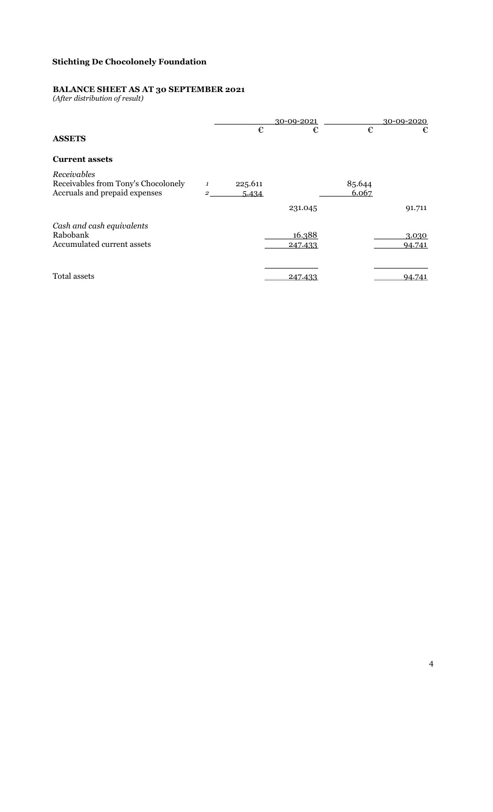#### BALANCE SHEET AS AT 30 SEPTEMBER 2021

(After distribution of result)

|                                                                                     |        |                  | 30-09-2021        |                 | 30-09-2020      |
|-------------------------------------------------------------------------------------|--------|------------------|-------------------|-----------------|-----------------|
| <b>ASSETS</b>                                                                       |        | €                | €                 | €               | €               |
| <b>Current assets</b>                                                               |        |                  |                   |                 |                 |
| Receivables<br>Receivables from Tony's Chocolonely<br>Accruals and prepaid expenses | 1<br>2 | 225.611<br>5.434 |                   | 85.644<br>6.067 |                 |
|                                                                                     |        |                  | 231.045           |                 | 91.711          |
| Cash and cash equivalents<br>Rabobank<br>Accumulated current assets                 |        |                  | 16.388<br>247.433 |                 | 3.030<br>94.741 |
| Total assets                                                                        |        |                  | 247.433           |                 | 94.741          |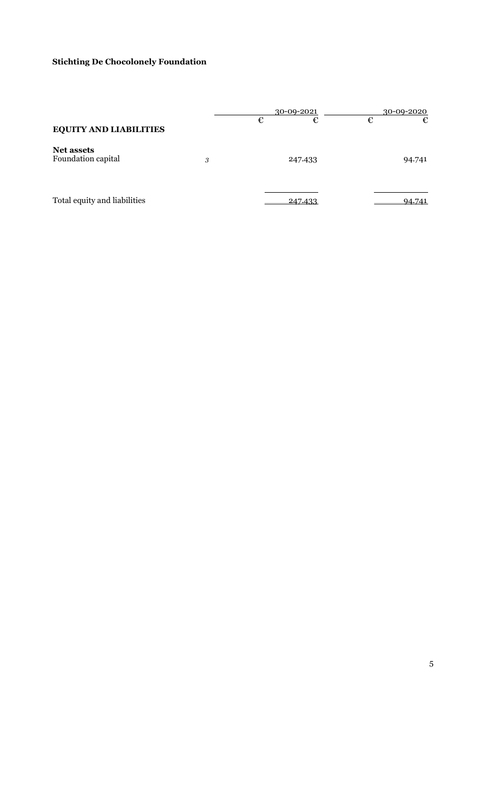|                                         |   |   | 30-09-2021 |   | 30-09-2020 |
|-----------------------------------------|---|---|------------|---|------------|
| <b>EQUITY AND LIABILITIES</b>           |   | € | €          | € | €          |
| <b>Net assets</b><br>Foundation capital | 3 |   | 247.433    |   | 94.741     |
| Total equity and liabilities            |   |   | 247.433    |   | 94.741     |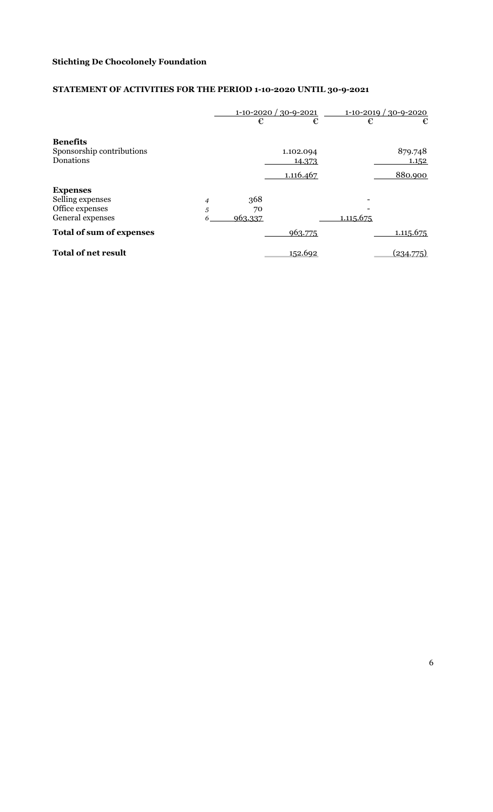# STATEMENT OF ACTIVITIES FOR THE PERIOD 1-10-2020 UNTIL 30-9-2021

|                                                                            |             | €                    | $1-10-2020/30-9-2021$<br>€ | €         | $1-10-2019/30-9-2020$<br>€ |
|----------------------------------------------------------------------------|-------------|----------------------|----------------------------|-----------|----------------------------|
| <b>Benefits</b><br>Sponsorship contributions<br>Donations                  |             |                      | 1.102.094<br>14.373        |           | 879.748<br>1.152           |
|                                                                            |             |                      | 1.116.467                  |           | 880.900                    |
| <b>Expenses</b><br>Selling expenses<br>Office expenses<br>General expenses | 4<br>5<br>6 | 368<br>70<br>963.337 |                            | 1.115.675 |                            |
| <b>Total of sum of expenses</b>                                            |             |                      | 963.775                    |           | 1.115.675                  |
| <b>Total of net result</b>                                                 |             |                      | 152.692                    |           | (234.775)                  |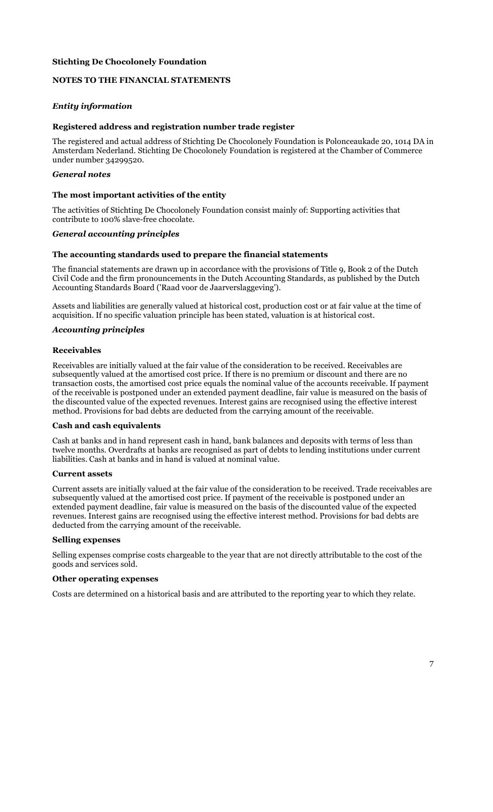# NOTES TO THE FINANCIAL STATEMENTS

# Entity information

### Registered address and registration number trade register

The registered and actual address of Stichting De Chocolonely Foundation is Polonceaukade 20, 1014 DA in Amsterdam Nederland. Stichting De Chocolonely Foundation is registered at the Chamber of Commerce under number 34299520.

#### General notes

#### The most important activities of the entity

The activities of Stichting De Chocolonely Foundation consist mainly of: Supporting activities that contribute to 100% slave-free chocolate.

#### General accounting principles

#### The accounting standards used to prepare the financial statements

The financial statements are drawn up in accordance with the provisions of Title 9, Book 2 of the Dutch Civil Code and the firm pronouncements in the Dutch Accounting Standards, as published by the Dutch Accounting Standards Board ('Raad voor de Jaarverslaggeving').

Assets and liabilities are generally valued at historical cost, production cost or at fair value at the time of acquisition. If no specific valuation principle has been stated, valuation is at historical cost.

### Accounting principles

#### Receivables

Receivables are initially valued at the fair value of the consideration to be received. Receivables are subsequently valued at the amortised cost price. If there is no premium or discount and there are no transaction costs, the amortised cost price equals the nominal value of the accounts receivable. If payment of the receivable is postponed under an extended payment deadline, fair value is measured on the basis of the discounted value of the expected revenues. Interest gains are recognised using the effective interest method. Provisions for bad debts are deducted from the carrying amount of the receivable.

#### Cash and cash equivalents

Cash at banks and in hand represent cash in hand, bank balances and deposits with terms of less than twelve months. Overdrafts at banks are recognised as part of debts to lending institutions under current liabilities. Cash at banks and in hand is valued at nominal value.

#### Current assets

Current assets are initially valued at the fair value of the consideration to be received. Trade receivables are subsequently valued at the amortised cost price. If payment of the receivable is postponed under an extended payment deadline, fair value is measured on the basis of the discounted value of the expected revenues. Interest gains are recognised using the effective interest method. Provisions for bad debts are deducted from the carrying amount of the receivable.

#### Selling expenses

Selling expenses comprise costs chargeable to the year that are not directly attributable to the cost of the goods and services sold.

#### Other operating expenses

Costs are determined on a historical basis and are attributed to the reporting year to which they relate.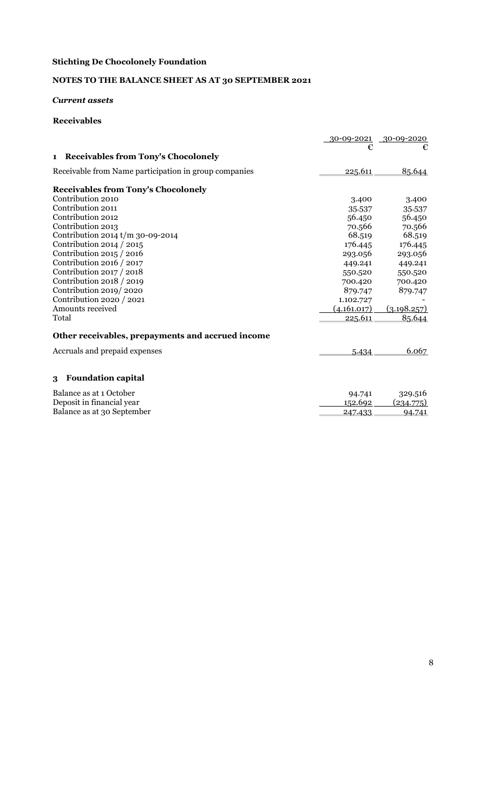# NOTES TO THE BALANCE SHEET AS AT 30 SEPTEMBER 2021

## Current assets

| <b>Receivables</b>                                    |             |             |
|-------------------------------------------------------|-------------|-------------|
|                                                       | 30-09-2021  | 30-09-2020  |
|                                                       | €           | €           |
| <b>Receivables from Tony's Chocolonely</b><br>1       |             |             |
| Receivable from Name participation in group companies | 225.611     | 85.644      |
| <b>Receivables from Tony's Chocolonely</b>            |             |             |
| Contribution 2010                                     | 3.400       | 3.400       |
| Contribution 2011                                     | 35.537      | 35.537      |
| Contribution 2012                                     | 56.450      | 56.450      |
| Contribution 2013                                     | 70.566      | 70.566      |
| Contribution 2014 $t/m$ 30-09-2014                    | 68.519      | 68.519      |
| Contribution 2014 / 2015                              | 176.445     | 176.445     |
| Contribution $2015/2016$                              | 293.056     | 293.056     |
| Contribution 2016 / 2017                              | 449.241     | 449.241     |
| Contribution 2017 / 2018                              | 550.520     | 550.520     |
| Contribution 2018 / 2019                              | 700.420     | 700.420     |
| Contribution 2019/2020                                | 879.747     | 879.747     |
| Contribution 2020 / 2021                              | 1.102.727   |             |
| Amounts received                                      | (4.161.017) | (3.198.257) |
| Total                                                 | 225.611     | 85.644      |
| Other receivables, prepayments and accrued income     |             |             |
| Accruals and prepaid expenses                         | 5.434       | 6.067       |
|                                                       |             |             |
| <b>Foundation capital</b><br>3                        |             |             |
| Balance as at 1 October                               | 94.741      | 329.516     |
| Deposit in financial year                             | 152.692     | (234.775)   |
| Balance as at 30 September                            | 247.433     | 94.741      |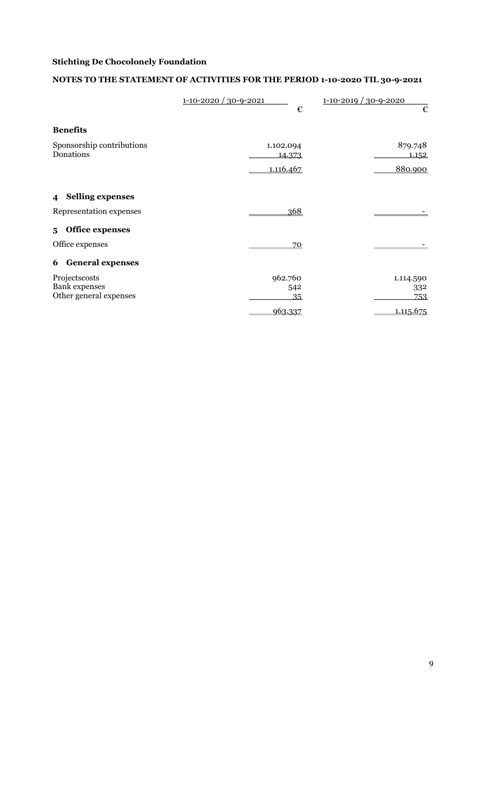# NOTES TO THE STATEMENT OF ACTIVITIES FOR THE PERIOD 1-10-2020 TIL 30-9-2021

|                                                    | $1 - 10 - 2020 / 30 - 9 - 2021$<br>€ | $1 - 10 - 2019 / 30 - 9 - 2020$<br>€ |
|----------------------------------------------------|--------------------------------------|--------------------------------------|
| <b>Benefits</b>                                    |                                      |                                      |
| Sponsorship contributions<br>Donations             | 1.102.094<br>14.373                  | 879.748<br><u>1.152</u>              |
|                                                    | 1.116.467                            | 880.900                              |
| <b>Selling expenses</b><br>$\overline{\mathbf{4}}$ |                                      |                                      |
| Representation expenses                            | 368                                  |                                      |
| Office expenses<br>5                               |                                      |                                      |
| Office expenses                                    | 70                                   |                                      |
| <b>General expenses</b><br>6                       |                                      |                                      |
| Projectscosts                                      | 962.760                              | 1.114.590                            |
| <b>Bank</b> expenses                               | 542                                  | 332                                  |
| Other general expenses                             | 35                                   | 753                                  |
|                                                    | 963.337                              | 1.115.675                            |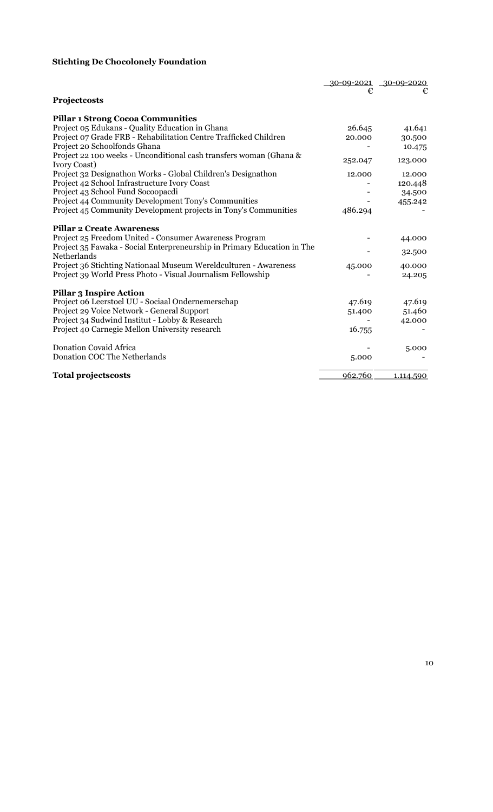|                                                                                        |         | 30-09-2021 30-09-2020 |
|----------------------------------------------------------------------------------------|---------|-----------------------|
|                                                                                        | €       | €                     |
| Projectcosts                                                                           |         |                       |
| <b>Pillar 1 Strong Cocoa Communities</b>                                               |         |                       |
| Project 05 Edukans - Quality Education in Ghana                                        | 26.645  | 41.641                |
| Project 07 Grade FRB - Rehabilitation Centre Trafficked Children                       | 20.000  | 30.500                |
| Project 20 Schoolfonds Ghana                                                           |         | 10.475                |
| Project 22 100 weeks - Unconditional cash transfers woman (Ghana &<br>Ivory Coast)     | 252.047 | 123.000               |
| Project 32 Designathon Works - Global Children's Designathon                           | 12.000  | 12.000                |
| Project 42 School Infrastructure Ivory Coast                                           |         | 120.448               |
| Project 43 School Fund Socoopacdi                                                      |         | 34.500                |
| Project 44 Community Development Tony's Communities                                    |         | 455.242               |
| Project 45 Community Development projects in Tony's Communities                        | 486.294 |                       |
| <b>Pillar 2 Create Awareness</b>                                                       |         |                       |
| Project 25 Freedom United - Consumer Awareness Program                                 |         | 44.000                |
| Project 35 Fawaka - Social Enterpreneurship in Primary Education in The<br>Netherlands |         | 32.500                |
| Project 36 Stichting Nationaal Museum Wereldculturen - Awareness                       | 45.000  | 40.000                |
| Project 39 World Press Photo - Visual Journalism Fellowship                            |         | 24.205                |
| <b>Pillar 3 Inspire Action</b>                                                         |         |                       |
| Project 06 Leerstoel UU - Sociaal Ondernemerschap                                      | 47.619  | 47.619                |
| Project 29 Voice Network - General Support                                             | 51.400  | 51.460                |
| Project 34 Sudwind Institut - Lobby & Research                                         |         | 42.000                |
| Project 40 Carnegie Mellon University research                                         | 16.755  |                       |
| <b>Donation Covaid Africa</b>                                                          |         | 5.000                 |
| Donation COC The Netherlands                                                           | 5.000   |                       |
| <b>Total projectscosts</b>                                                             | 962.760 | 1.114.590             |